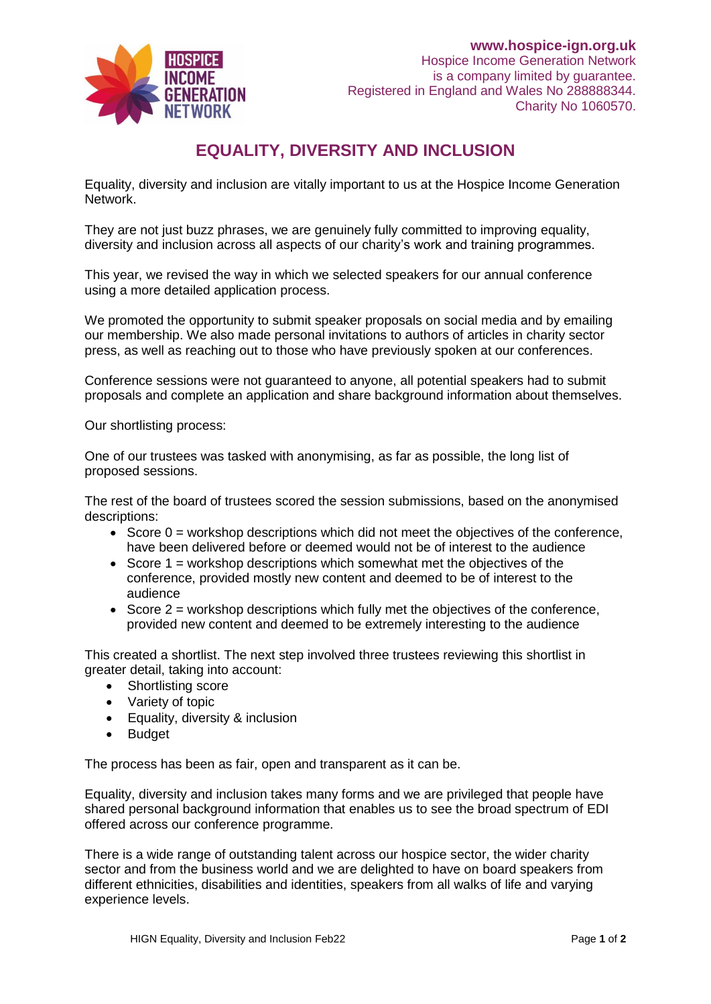

## **EQUALITY, DIVERSITY AND INCLUSION**

Equality, diversity and inclusion are vitally important to us at the Hospice Income Generation Network.

They are not just buzz phrases, we are genuinely fully committed to improving equality, diversity and inclusion across all aspects of our charity's work and training programmes.

This year, we revised the way in which we selected speakers for our annual conference using a more detailed application process.

We promoted the opportunity to submit speaker proposals on social media and by emailing our membership. We also made personal invitations to authors of articles in charity sector press, as well as reaching out to those who have previously spoken at our conferences.

Conference sessions were not guaranteed to anyone, all potential speakers had to submit proposals and complete an application and share background information about themselves.

Our shortlisting process:

One of our trustees was tasked with anonymising, as far as possible, the long list of proposed sessions.

The rest of the board of trustees scored the session submissions, based on the anonymised descriptions:

- Score  $0 =$  workshop descriptions which did not meet the objectives of the conference, have been delivered before or deemed would not be of interest to the audience
- Score  $1$  = workshop descriptions which somewhat met the objectives of the conference, provided mostly new content and deemed to be of interest to the audience
- Score  $2 =$  workshop descriptions which fully met the objectives of the conference, provided new content and deemed to be extremely interesting to the audience

This created a shortlist. The next step involved three trustees reviewing this shortlist in greater detail, taking into account:

- Shortlisting score
- Variety of topic
- Equality, diversity & inclusion
- Budget

The process has been as fair, open and transparent as it can be.

Equality, diversity and inclusion takes many forms and we are privileged that people have shared personal background information that enables us to see the broad spectrum of EDI offered across our conference programme.

There is a wide range of outstanding talent across our hospice sector, the wider charity sector and from the business world and we are delighted to have on board speakers from different ethnicities, disabilities and identities, speakers from all walks of life and varying experience levels.